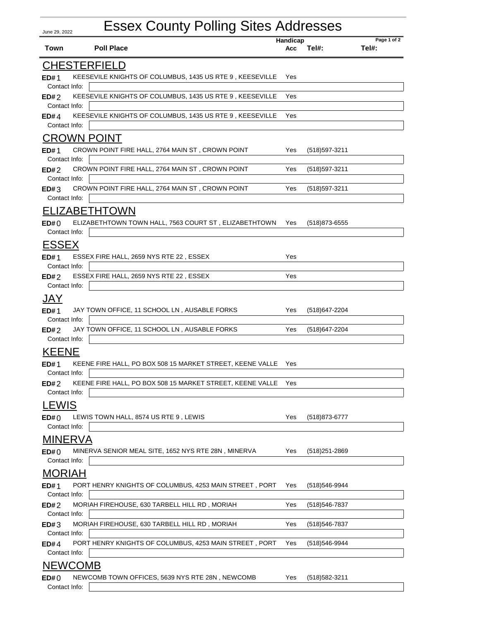## June 29, 2022 Essex County Polling Sites Addresses **Town Poll Place Handicap Acc Page 1 of 2 Tel#: Tel#:** CHESTERFIELD KEESEVILE KNIGHTS OF COLUMBUS, 1435 US RTE 9, KEESEVILLE Yes Contact Info: **ED#** 2 KEESEVILE KNIGHTS OF COLUMBUS, 1435 US RTE 9 , KEESEVILLE Yes Contact Info: **ED#** KEESEVILE KNIGHTS OF COLUMBUS, 1435 US RTE 9, KEESEVILLE Yes Contact Info: **ED#** CROWN POINT 1 CROWN POINT FIRE HALL, 2764 MAIN ST , CROWN POINT Yes (518)597-3211 Contact Info: **ED#** 2 CROWN POINT FIRE HALL, 2764 MAIN ST , CROWN POINT Yes (518)597-3211 Contact Info: **ED# ED#** 3 CROWN POINT FIRE HALL, 2764 MAIN ST, CROWN POINT Yes (518)597-3211 Contact Info: ELIZABETHTOWN 0 ELIZABETHTOWN TOWN HALL, 7563 COURT ST , ELIZABETHTOWN Yes (518)873-6555 **ED#** Contact Info: ESSEX 1 ESSEX FIRE HALL, 2659 NYS RTE 22 , ESSEX Yes Contact Info: **ED#** ESSEX FIRE HALL, 2659 NYS RTE 22, ESSEX Ves Contact Info: **ED#** JAY JAY TOWN OFFICE, 11 SCHOOL LN, AUSABLE FORKS Yes (518)647-2204 Contact Info: **ED#** JAY TOWN OFFICE, 11 SCHOOL LN, AUSABLE FORKS Yes (518)647-2204 Contact Info: **ED#** KEENE 1 KEENE FIRE HALL, PO BOX 508 15 MARKET STREET, KEENE VALLE Yes Contact Info: **ED#** 2 KEENE FIRE HALL, PO BOX 508 15 MARKET STREET, KEENE VALLE Yes Contact Info: **ED#** LEWIS **ED#** 0 LEWIS TOWN HALL, 8574 US RTE 9, LEWIS YES (518)873-6777 Contact Info: MINERVA 0 MINERVA SENIOR MEAL SITE, 1652 NYS RTE 28N , MINERVA Yes (518)251-2869 Contact Info: **ED#** MORIAH 1 PORT HENRY KNIGHTS OF COLUMBUS, 4253 MAIN STREET , PORT Yes (518)546-9944 Contact Info: **ED#** 2 MORIAH FIREHOUSE, 630 TARBELL HILL RD , MORIAH Yes (518)546-7837 Contact Info: **ED#** 3 MORIAH FIREHOUSE, 630 TARBELL HILL RD , MORIAH Yes (518)546-7837 Contact Info: **ED#** PORT HENRY KNIGHTS OF COLUMBUS, 4253 MAIN STREET, PORT Yes (518)546-9944 Contact Info: **ED#** NEWCOMB 0 NEWCOMB TOWN OFFICES, 5639 NYS RTE 28N , NEWCOMB Yes (518)582-3211

| ED#()         | NEWCOMB TOWN OFFICES, 5639 NYS RTE 28N, NEWCOMB | Yes. | (518)582-3211 |  |
|---------------|-------------------------------------------------|------|---------------|--|
| Contact Info: |                                                 |      |               |  |